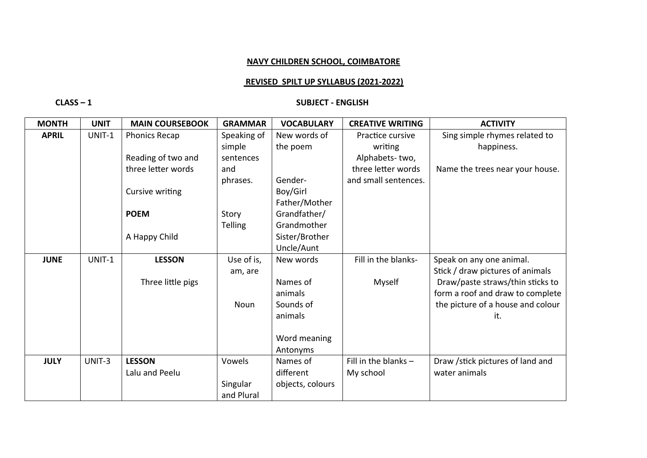## **NAVY CHILDREN SCHOOL, COIMBATORE**

## **REVISED SPILT UP SYLLABUS (2021-2022)**

## **CLASS – 1 SUBJECT - ENGLISH**

| <b>MONTH</b> | <b>UNIT</b> | <b>MAIN COURSEBOOK</b> | <b>GRAMMAR</b> | <b>VOCABULARY</b> | <b>CREATIVE WRITING</b> | <b>ACTIVITY</b>                   |
|--------------|-------------|------------------------|----------------|-------------------|-------------------------|-----------------------------------|
| <b>APRIL</b> | UNIT-1      | <b>Phonics Recap</b>   | Speaking of    | New words of      | Practice cursive        | Sing simple rhymes related to     |
|              |             |                        | simple         | the poem          | writing                 | happiness.                        |
|              |             | Reading of two and     | sentences      |                   | Alphabets-two,          |                                   |
|              |             | three letter words     | and            |                   | three letter words      | Name the trees near your house.   |
|              |             |                        | phrases.       | Gender-           | and small sentences.    |                                   |
|              |             | Cursive writing        |                | Boy/Girl          |                         |                                   |
|              |             |                        |                | Father/Mother     |                         |                                   |
|              |             | <b>POEM</b>            | Story          | Grandfather/      |                         |                                   |
|              |             |                        | <b>Telling</b> | Grandmother       |                         |                                   |
|              |             | A Happy Child          |                | Sister/Brother    |                         |                                   |
|              |             |                        |                | Uncle/Aunt        |                         |                                   |
| <b>JUNE</b>  | UNIT-1      | <b>LESSON</b>          | Use of is,     | New words         | Fill in the blanks-     | Speak on any one animal.          |
|              |             |                        | am, are        |                   |                         | Stick / draw pictures of animals  |
|              |             | Three little pigs      |                | Names of          | Myself                  | Draw/paste straws/thin sticks to  |
|              |             |                        |                | animals           |                         | form a roof and draw to complete  |
|              |             |                        | <b>Noun</b>    | Sounds of         |                         | the picture of a house and colour |
|              |             |                        |                | animals           |                         | it.                               |
|              |             |                        |                |                   |                         |                                   |
|              |             |                        |                | Word meaning      |                         |                                   |
|              |             |                        |                | Antonyms          |                         |                                   |
| <b>JULY</b>  | UNIT-3      | <b>LESSON</b>          | Vowels         | Names of          | Fill in the blanks $-$  | Draw /stick pictures of land and  |
|              |             | Lalu and Peelu         |                | different         | My school               | water animals                     |
|              |             |                        | Singular       | objects, colours  |                         |                                   |
|              |             |                        | and Plural     |                   |                         |                                   |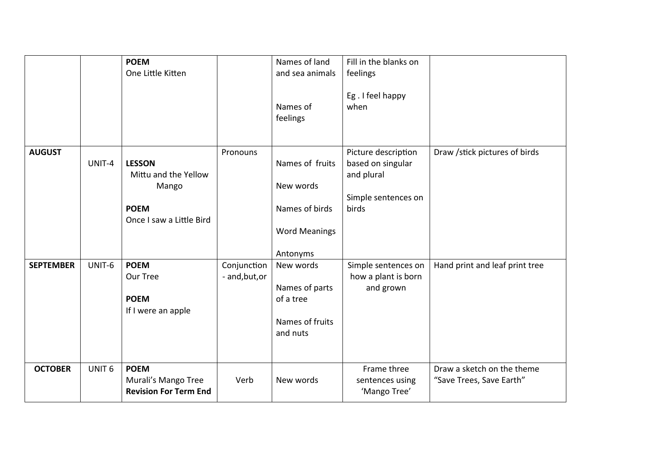|                  |                   | <b>POEM</b><br>One Little Kitten                                                          |                               | Names of land<br>and sea animals<br>Names of<br>feelings                           | Fill in the blanks on<br>feelings<br>Eg. I feel happy<br>when                          |                                                        |
|------------------|-------------------|-------------------------------------------------------------------------------------------|-------------------------------|------------------------------------------------------------------------------------|----------------------------------------------------------------------------------------|--------------------------------------------------------|
| <b>AUGUST</b>    | UNIT-4            | <b>LESSON</b><br>Mittu and the Yellow<br>Mango<br><b>POEM</b><br>Once I saw a Little Bird | Pronouns                      | Names of fruits<br>New words<br>Names of birds<br><b>Word Meanings</b><br>Antonyms | Picture description<br>based on singular<br>and plural<br>Simple sentences on<br>birds | Draw /stick pictures of birds                          |
| <b>SEPTEMBER</b> | UNIT-6            | <b>POEM</b><br>Our Tree<br><b>POEM</b><br>If I were an apple                              | Conjunction<br>- and, but, or | New words<br>Names of parts<br>of a tree<br>Names of fruits<br>and nuts            | Simple sentences on<br>how a plant is born<br>and grown                                | Hand print and leaf print tree                         |
| <b>OCTOBER</b>   | UNIT <sub>6</sub> | <b>POEM</b><br>Murali's Mango Tree<br><b>Revision For Term End</b>                        | Verb                          | New words                                                                          | Frame three<br>sentences using<br>'Mango Tree'                                         | Draw a sketch on the theme<br>"Save Trees, Save Earth" |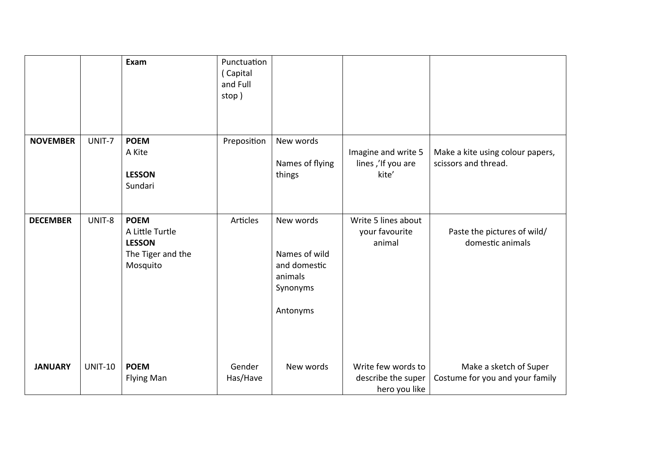|                 |                | Exam                                                                             | Punctuation<br>(Capital<br>and Full<br>stop) |                                                                               |                                                           |                                                           |
|-----------------|----------------|----------------------------------------------------------------------------------|----------------------------------------------|-------------------------------------------------------------------------------|-----------------------------------------------------------|-----------------------------------------------------------|
| <b>NOVEMBER</b> | UNIT-7         | <b>POEM</b><br>A Kite<br><b>LESSON</b><br>Sundari                                | Preposition                                  | New words<br>Names of flying<br>things                                        | Imagine and write 5<br>lines,'If you are<br>kite'         | Make a kite using colour papers,<br>scissors and thread.  |
| <b>DECEMBER</b> | UNIT-8         | <b>POEM</b><br>A Little Turtle<br><b>LESSON</b><br>The Tiger and the<br>Mosquito | Articles                                     | New words<br>Names of wild<br>and domestic<br>animals<br>Synonyms<br>Antonyms | Write 5 lines about<br>your favourite<br>animal           | Paste the pictures of wild/<br>domestic animals           |
| <b>JANUARY</b>  | <b>UNIT-10</b> | <b>POEM</b><br><b>Flying Man</b>                                                 | Gender<br>Has/Have                           | New words                                                                     | Write few words to<br>describe the super<br>hero you like | Make a sketch of Super<br>Costume for you and your family |